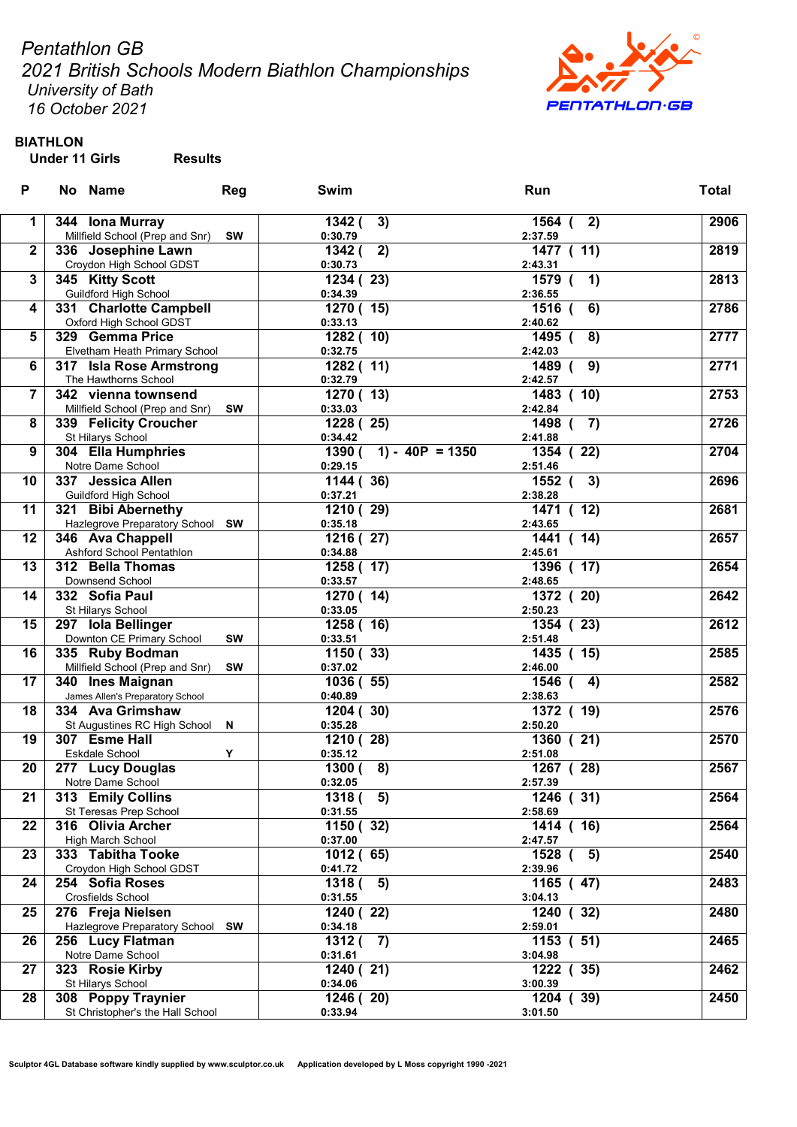Pentathlon GB

2021 British Schools Modern Biathlon Championships University of Bath

16 October 2021



BIATHLON

| P            | No Name                                          | <b>Reg</b> | Swim                                | Run                            | <b>Total</b> |
|--------------|--------------------------------------------------|------------|-------------------------------------|--------------------------------|--------------|
| 1            | 344 Iona Murray                                  |            | 1342 (<br>3)                        | 1564 (<br>2)                   | 2906         |
|              | Millfield School (Prep and Snr)                  | <b>SW</b>  | 0:30.79                             | 2:37.59                        |              |
| $\mathbf{2}$ | 336 Josephine Lawn                               |            | $\overline{1}342$ (<br>2)           | 1477 ( 11)                     | 2819         |
|              | Croydon High School GDST                         |            | 0:30.73                             | 2:43.31                        |              |
| 3            | 345 Kitty Scott                                  |            | 1234(23)                            | 1579<br>1)<br>$\epsilon$       | 2813         |
|              | <b>Guildford High School</b>                     |            | 0:34.39                             | 2:36.55                        |              |
| 4            | 331 Charlotte Campbell                           |            | 1270 (15)                           | $1516$ (<br>6)                 | 2786         |
|              | Oxford High School GDST                          |            | 0:33.13                             | 2:40.62                        |              |
| 5            | 329 Gemma Price                                  |            | 1282 ( 10)                          | 1495 (<br>8)                   | 2777         |
|              | Elvetham Heath Primary School                    |            | 0:32.75                             | 2:42.03                        |              |
| 6            | 317 Isla Rose Armstrong                          |            | 1282 (11)                           | 1489<br>9)<br>$\mathbf \Gamma$ | 2771         |
|              | The Hawthorns School                             |            | 0:32.79                             | 2:42.57                        |              |
| 7            | 342 vienna townsend                              |            | 1270 (13)                           | 1483 ( 10)                     | 2753         |
|              | Millfield School (Prep and Snr)                  | <b>SW</b>  | 0:33.03                             | 2:42.84                        |              |
| 8            | 339 Felicity Croucher                            |            | 1228 (25)                           | 1498 (<br>$\overline{7}$       | 2726         |
| 9            | St Hilarys School<br>304 Ella Humphries          |            | 0:34.42<br>$1390 (-1) - 40P = 1350$ | 2:41.88<br>1354 (22)           | 2704         |
|              | Notre Dame School                                |            | 0:29.15                             | 2:51.46                        |              |
| 10           | 337 Jessica Allen                                |            | 1144 (36)                           | 1552 (<br>3)                   | 2696         |
|              | Guildford High School                            |            | 0:37.21                             | 2:38.28                        |              |
| 11           | 321 Bibi Abernethy                               |            | 1210 (29)                           | (12)<br>1471                   | 2681         |
|              | Hazlegrove Preparatory School SW                 |            | 0:35.18                             | 2:43.65                        |              |
| 12           | 346 Ava Chappell                                 |            | 1216 (27)                           | 1441<br>(14)                   | 2657         |
|              | Ashford School Pentathlon                        |            | 0:34.88                             | 2:45.61                        |              |
| 13           | 312 Bella Thomas                                 |            | 1258 (17)                           | 1396 ( 17)                     | 2654         |
|              | Downsend School                                  |            | 0:33.57                             | 2:48.65                        |              |
| 14           | 332 Sofia Paul                                   |            | 1270 (14)                           | 1372 (20)                      | 2642         |
|              | St Hilarys School                                |            | 0:33.05                             | 2:50.23                        |              |
| 15           | 297 Iola Bellinger                               |            | 1258 ( 16)                          | 1354 (23)                      | 2612         |
|              | Downton CE Primary School                        | <b>SW</b>  | 0:33.51                             | 2:51.48                        |              |
| 16           | 335 Ruby Bodman                                  |            | 1150(33)                            | 1435 ( 15)                     | 2585         |
|              | Millfield School (Prep and Snr)                  | <b>SW</b>  | 0:37.02                             | 2:46.00                        |              |
| 17           | 340 Ines Maignan                                 |            | 1036 (55)                           | 1546<br>4)                     | 2582         |
|              | James Allen's Preparatory School                 |            | 0:40.89                             | 2:38.63                        |              |
| 18           | 334 Ava Grimshaw<br>St Augustines RC High School |            | 1204 (30)                           | 1372 ( 19)<br>2:50.20          | 2576         |
| 19           | 307 Esme Hall                                    | N          | 0:35.28<br>1210(28)                 | 1360 (21)                      | 2570         |
|              | Eskdale School                                   | Υ          | 0:35.12                             | 2:51.08                        |              |
| 20           | 277 Lucy Douglas                                 |            | 8)<br>1300 (                        | 1267 (28)                      | 2567         |
|              | Notre Dame School                                |            | 0:32.05                             | 2:57.39                        |              |
| 21           | 313 Emily Collins                                |            | 1318(5)                             | 1246 (31)                      | 2564         |
|              | St Teresas Prep School                           |            | 0:31.55                             | 2:58.69                        |              |
| 22           | 316 Olivia Archer                                |            | 1150 (32)                           | 1414 ( 16)                     | 2564         |
|              | High March School                                |            | 0:37.00                             | 2:47.57                        |              |
| 23           | 333 Tabitha Tooke                                |            | 1012(65)                            | 1528<br>5)                     | 2540         |
|              | Croydon High School GDST                         |            | 0:41.72                             | 2:39.96                        |              |
| 24           | 254 Sofia Roses                                  |            | 1318 (<br>5)                        | 1165 (47)                      | 2483         |
|              | Crosfields School                                |            | 0:31.55                             | 3:04.13                        |              |
| 25           | 276 Freja Nielsen                                |            | 1240 (22)                           | 1240 (32)                      | 2480         |
|              | Hazlegrove Preparatory School SW                 |            | 0:34.18                             | 2:59.01                        |              |
| 26           | 256 Lucy Flatman                                 |            | 1312(7)                             | 1153 ( 51)                     | 2465         |
|              | Notre Dame School                                |            | 0:31.61                             | 3:04.98                        |              |
| 27           | 323 Rosie Kirby                                  |            | 1240 (21)                           | 1222 (35)                      | 2462         |
|              | St Hilarys School                                |            | 0:34.06                             | 3:00.39                        |              |
| 28           | 308 Poppy Traynier                               |            | 1246(20)                            | 1204 (39)                      | 2450         |
|              | St Christopher's the Hall School                 |            | 0:33.94                             | 3:01.50                        |              |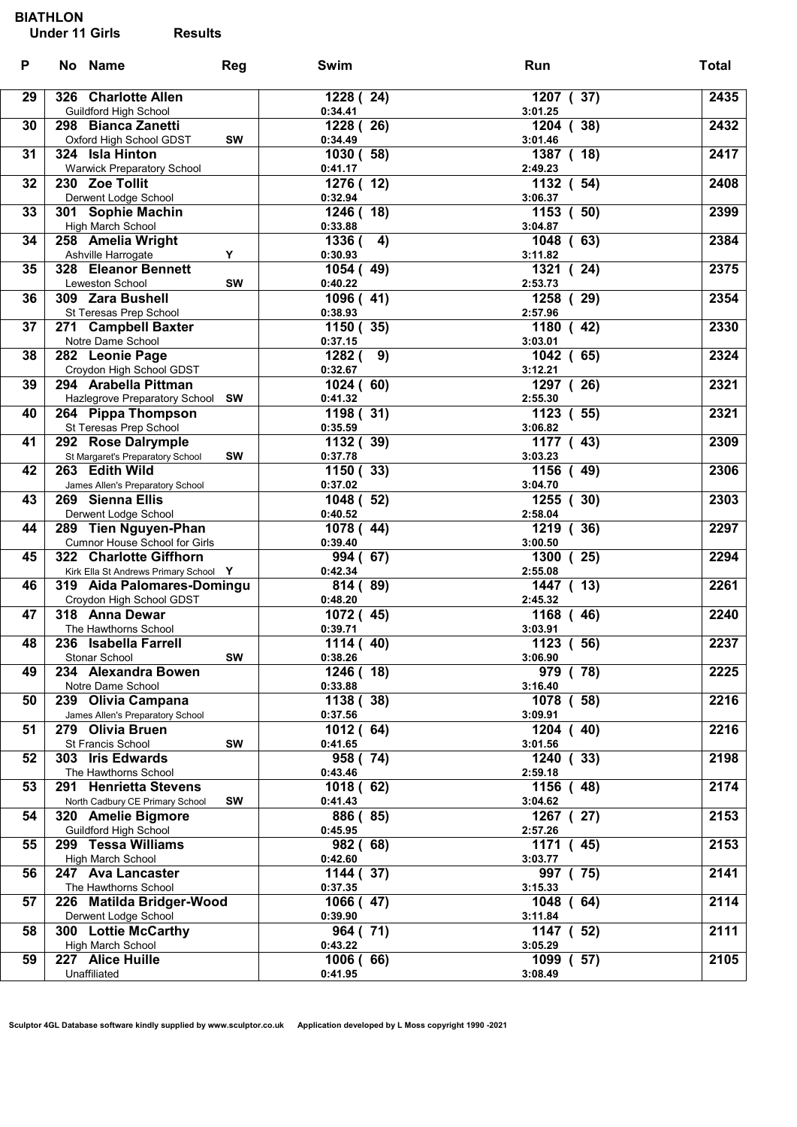| P  | No Name                                              | Reg       | Swim                 | Run                     | <b>Total</b> |
|----|------------------------------------------------------|-----------|----------------------|-------------------------|--------------|
| 29 | 326 Charlotte Allen                                  |           | 1228 (24)            | 1207 (37)               | 2435         |
|    | Guildford High School                                |           | 0:34.41              | 3:01.25                 |              |
| 30 | 298 Bianca Zanetti                                   |           | 1228 (26)            | 1204 (38)               | 2432         |
|    | Oxford High School GDST                              | SW        | 0:34.49              | 3:01.46                 |              |
| 31 | 324 Isla Hinton<br><b>Warwick Preparatory School</b> |           | 1030(58)<br>0:41.17  | 1387 (18)<br>2:49.23    | 2417         |
| 32 | 230 Zoe Tollit                                       |           | 1276 (12)            | 1132 ( 54)              | 2408         |
|    | Derwent Lodge School                                 |           | 0:32.94              | 3:06.37                 |              |
| 33 | 301 Sophie Machin                                    |           | 1246 (18)            | 1153 ( 50)              | 2399         |
|    | High March School                                    |           | 0:33.88              | 3:04.87                 |              |
| 34 | 258 Amelia Wright                                    |           | 1336 (<br>4)         | 1048 (63)               | 2384         |
|    | Ashville Harrogate                                   | Y         | 0:30.93              | 3:11.82                 |              |
| 35 | 328 Eleanor Bennett                                  |           | 1054(49)             | 1321<br>24)<br>$\left($ | 2375         |
|    | <b>Leweston School</b>                               | <b>SW</b> | 0:40.22              | 2:53.73                 |              |
| 36 | 309 Zara Bushell                                     |           | 1096 (41)            | 1258 (29)               | 2354         |
| 37 | St Teresas Prep School<br>271 Campbell Baxter        |           | 0:38.93<br>1150 (35) | 2:57.96<br>1180 (42)    | 2330         |
|    | Notre Dame School                                    |           | 0:37.15              | 3:03.01                 |              |
| 38 | 282 Leonie Page                                      |           | 1282(9)              | 1042(65)                | 2324         |
|    | Croydon High School GDST                             |           | 0:32.67              | 3:12.21                 |              |
| 39 | 294 Arabella Pittman                                 |           | 1024 (60)            | 1297 (26)               | 2321         |
|    | Hazlegrove Preparatory School SW                     |           | 0:41.32              | 2:55.30                 |              |
| 40 | 264 Pippa Thompson                                   |           | 1198 (31)            | 1123 ( 55)              | 2321         |
|    | St Teresas Prep School                               |           | 0:35.59              | 3:06.82                 |              |
| 41 | 292 Rose Dalrymple                                   |           | 1132 (39)            | 1177 (43)               | 2309         |
| 42 | St Margaret's Preparatory School<br>263 Edith Wild   | SW        | 0:37.78<br>1150(33)  | 3:03.23<br>1156 (49)    | 2306         |
|    | James Allen's Preparatory School                     |           | 0:37.02              | 3:04.70                 |              |
| 43 | 269 Sienna Ellis                                     |           | 1048 (52)            | 1255 (30)               | 2303         |
|    | Derwent Lodge School                                 |           | 0:40.52              | 2:58.04                 |              |
| 44 | 289 Tien Nguyen-Phan                                 |           | 1078 (44)            | 1219 (36)               | 2297         |
|    | Cumnor House School for Girls                        |           | 0:39.40              | 3:00.50                 |              |
| 45 | 322 Charlotte Giffhorn                               |           | 994 (67)             | 1300<br>(25)            | 2294         |
|    | Kirk Ella St Andrews Primary School Y                |           | 0:42.34              | 2:55.08                 |              |
| 46 | 319 Aida Palomares-Domingu                           |           | 814 (89)             | 1447 (13)               | 2261         |
| 47 | Croydon High School GDST<br>318 Anna Dewar           |           | 0:48.20              | 2:45.32                 | 2240         |
|    | The Hawthorns School                                 |           | 1072 (45)<br>0:39.71 | 1168 (46)<br>3:03.91    |              |
| 48 | 236 Isabella Farrell                                 |           | 1114(40)             | 1123(56)                | 2237         |
|    | Stonar School                                        | SW        | 0:38.26              | 3:06.90                 |              |
| 49 | 234 Alexandra Bowen                                  |           | 1246 (18)            | $\overline{979}$ (78)   | 2225         |
|    | Notre Dame School                                    |           | 0:33.88              | 3:16.40                 |              |
| 50 | 239 Olivia Campana                                   |           | 1138 (38)            | 1078 ( 58)              | 2216         |
|    | James Allen's Preparatory School                     |           | 0:37.56              | 3:09.91                 |              |
| 51 | 279 Olivia Bruen                                     |           | 1012(64)             | 1204 (40)               | 2216         |
| 52 | St Francis School<br>303 Iris Edwards                | SW        | 0:41.65<br>958 (74)  | 3:01.56<br>(33)<br>1240 | 2198         |
|    | The Hawthorns School                                 |           | 0:43.46              | 2:59.18                 |              |
| 53 | 291 Henrietta Stevens                                |           | 1018 (62)            | 1156 (48)               | 2174         |
|    | North Cadbury CE Primary School                      | SW        | 0:41.43              | 3:04.62                 |              |
| 54 | 320 Amelie Bigmore                                   |           | 886 (85)             | 1267 (27)               | 2153         |
|    | Guildford High School                                |           | 0:45.95              | 2:57.26                 |              |
| 55 | 299 Tessa Williams                                   |           | 982 (68)             | 1171 (45)               | 2153         |
|    | High March School                                    |           | 0:42.60              | 3:03.77                 |              |
| 56 | 247 Ava Lancaster                                    |           | 1144 (37)            | 997 (75)                | 2141         |
| 57 | The Hawthorns School                                 |           | 0:37.35              | 3:15.33                 | 2114         |
|    | 226 Matilda Bridger-Wood<br>Derwent Lodge School     |           | 1066 (47)<br>0:39.90 | 1048<br>(64)<br>3:11.84 |              |
| 58 | 300 Lottie McCarthy                                  |           | 964 (71)             | 1147(52)                | 2111         |
|    | High March School                                    |           | 0:43.22              | 3:05.29                 |              |
| 59 | 227 Alice Huille                                     |           | 1006(66)             | 1099 (57)               | 2105         |
|    | Unaffiliated                                         |           | 0:41.95              | 3:08.49                 |              |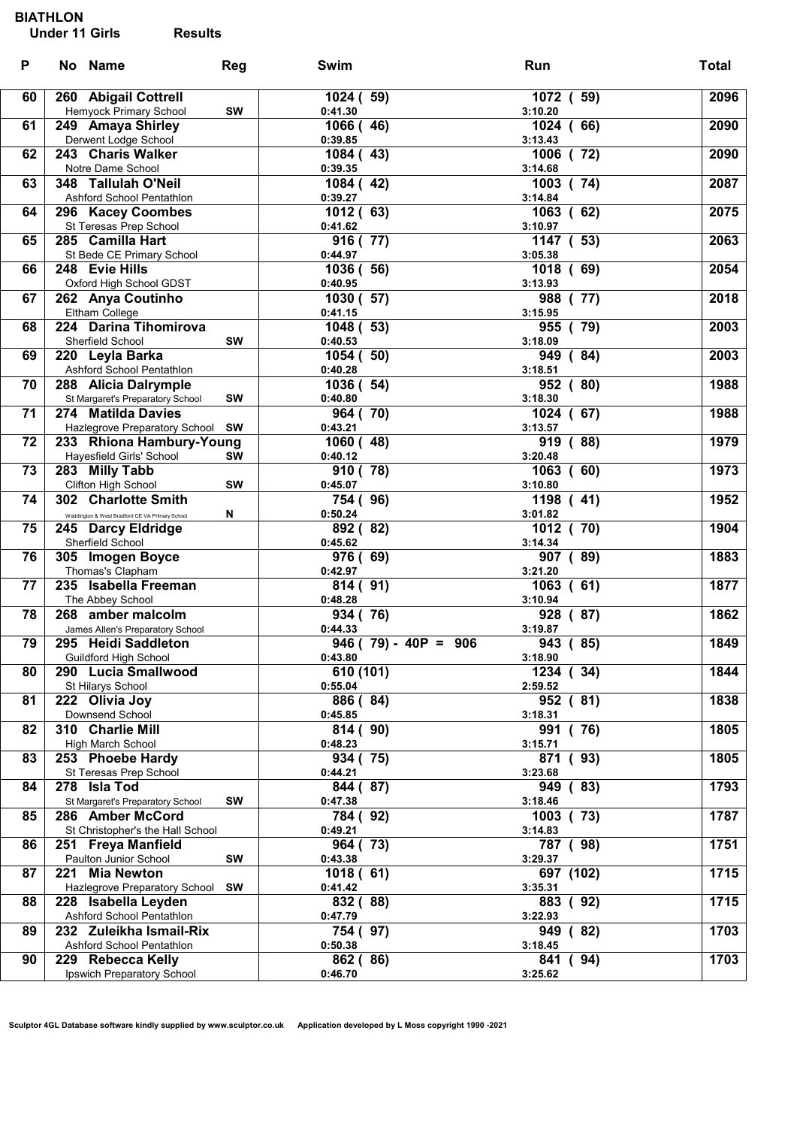| P  | No Name                                                | <b>Reg</b> | Swim                   | Run                    | <b>Total</b> |
|----|--------------------------------------------------------|------------|------------------------|------------------------|--------------|
| 60 | 260 Abigail Cottrell                                   |            | 1024 (59)              | 1072 ( 59)             | 2096         |
| 61 | Hemyock Primary School<br>249 Amaya Shirley            | <b>SW</b>  | 0:41.30<br>1066 (46)   | 3:10.20<br>1024 (66)   | 2090         |
|    | Derwent Lodge School                                   |            | 0:39.85                | 3:13.43                |              |
| 62 | 243 Charis Walker                                      |            | 1084 (43)              | $\overline{1006}$ (72) | 2090         |
| 63 | Notre Dame School<br>348 Tallulah O'Neil               |            | 0:39.35<br>1084 (42)   | 3:14.68<br>1003 (74)   | 2087         |
|    | Ashford School Pentathlon                              |            | 0:39.27                | 3:14.84                |              |
| 64 | 296 Kacey Coombes                                      |            | 1012 (63)              | 1063 (62)              | 2075         |
| 65 | St Teresas Prep School<br>285 Camilla Hart             |            | 0:41.62<br>916 (77)    | 3:10.97<br>1147 ( 53)  | 2063         |
|    | St Bede CE Primary School                              |            | 0:44.97                | 3:05.38                |              |
| 66 | 248 Evie Hills                                         |            | 1036 (56)              | 1018 (69)              | 2054         |
| 67 | Oxford High School GDST<br>262 Anya Coutinho           |            | 0:40.95<br>1030 (57)   | 3:13.93<br>988 (77)    | 2018         |
|    | Eltham College                                         |            | 0:41.15                | 3:15.95                |              |
| 68 | 224 Darina Tihomirova                                  |            | 1048 ( 53)             | 955 (79)               | 2003         |
|    | Sherfield School                                       | SW         | 0:40.53                | 3:18.09                | 2003         |
| 69 | 220 Leyla Barka<br>Ashford School Pentathlon           |            | 1054 (50)<br>0:40.28   | 949 (84)<br>3:18.51    |              |
| 70 | 288 Alicia Dalrymple                                   |            | 1036 ( 54)             | 952 (80)               | 1988         |
|    | St Margaret's Preparatory School                       | SW         | 0:40.80                | 3:18.30                |              |
| 71 | 274 Matilda Davies<br>Hazlegrove Preparatory School SW |            | 964 (70)<br>0:43.21    | 1024 (67)<br>3:13.57   | 1988         |
| 72 | 233 Rhiona Hambury-Young                               |            | 1060 (48)              | 919(88)                | 1979         |
|    | Hayesfield Girls' School                               | <b>SW</b>  | 0:40.12                | 3:20.48                |              |
| 73 | 283 Milly Tabb<br>Clifton High School                  | SW         | 910 (78)<br>0:45.07    | 1063 (60)<br>3:10.80   | 1973         |
| 74 | 302 Charlotte Smith                                    |            | 754 (96)               | 1198 (41)              | 1952         |
|    | Waddington & West Bradford CE VA Primary School        | N          | 0:50.24                | 3:01.82                |              |
| 75 | 245 Darcy Eldridge                                     |            | 892 (82)<br>0:45.62    | 1012 (70)<br>3:14.34   | 1904         |
| 76 | Sherfield School<br>305 Imogen Boyce                   |            | 976 (69)               | 907 (89)               | 1883         |
|    | Thomas's Clapham                                       |            | 0:42.97                | 3:21.20                |              |
| 77 | 235 Isabella Freeman                                   |            | 814 (91)               | $\overline{1063}$ (61) | 1877         |
| 78 | The Abbey School<br>268 amber malcolm                  |            | 0:48.28<br>934 (76)    | 3:10.94<br>928 (87)    | 1862         |
|    | James Allen's Preparatory School                       |            | 0:44.33                | 3:19.87                |              |
| 79 | 295 Heidi Saddleton                                    |            | $946$ (79) - 40P = 906 | 943(85)                | 1849         |
| 80 | Guildford High School<br>290 Lucia Smallwood           |            | 0:43.80<br>610 (101)   | 3:18.90<br>1234 (34)   | 1844         |
|    | St Hilarys School                                      |            | 0:55.04                | 2:59.52                |              |
| 81 | 222 Olivia Joy                                         |            | 886 (84)               | 952 (81)               | 1838         |
| 82 | Downsend School<br>310 Charlie Mill                    |            | 0:45.85<br>814 (90)    | 3:18.31<br>(76)<br>991 | 1805         |
|    | High March School                                      |            | 0:48.23                | 3:15.71                |              |
| 83 | 253 Phoebe Hardy                                       |            | 934 (75)               | (93)<br>871            | 1805         |
| 84 | St Teresas Prep School<br>278 Isla Tod                 |            | 0:44.21<br>844 (87)    | 3:23.68<br>(83)<br>949 | 1793         |
|    | St Margaret's Preparatory School                       | SW         | 0:47.38                | 3:18.46                |              |
| 85 | 286 Amber McCord                                       |            | 784 (92)               | (73)<br>1003           | 1787         |
|    | St Christopher's the Hall School                       |            | 0:49.21                | 3:14.83                |              |
| 86 | 251 Freya Manfield<br>Paulton Junior School            | SW         | 964 (73)<br>0:43.38    | 787 (98)<br>3:29.37    | 1751         |
| 87 | <b>Mia Newton</b><br>221                               |            | 1018(61)               | 697 (102)              | 1715         |
|    | Hazlegrove Preparatory School                          | <b>SW</b>  | 0:41.42                | 3:35.31                |              |
| 88 | 228 Isabella Leyden<br>Ashford School Pentathlon       |            | 832 (88)<br>0:47.79    | 883 (92)<br>3:22.93    | 1715         |
| 89 | 232 Zuleikha Ismail-Rix                                |            | 754 (97)               | (82)<br>949            | 1703         |
|    | Ashford School Pentathlon                              |            | 0:50.38                | 3:18.45                |              |
| 90 | 229 Rebecca Kelly<br>Ipswich Preparatory School        |            | 862 (86)<br>0:46.70    | (94)<br>841<br>3:25.62 | 1703         |
|    |                                                        |            |                        |                        |              |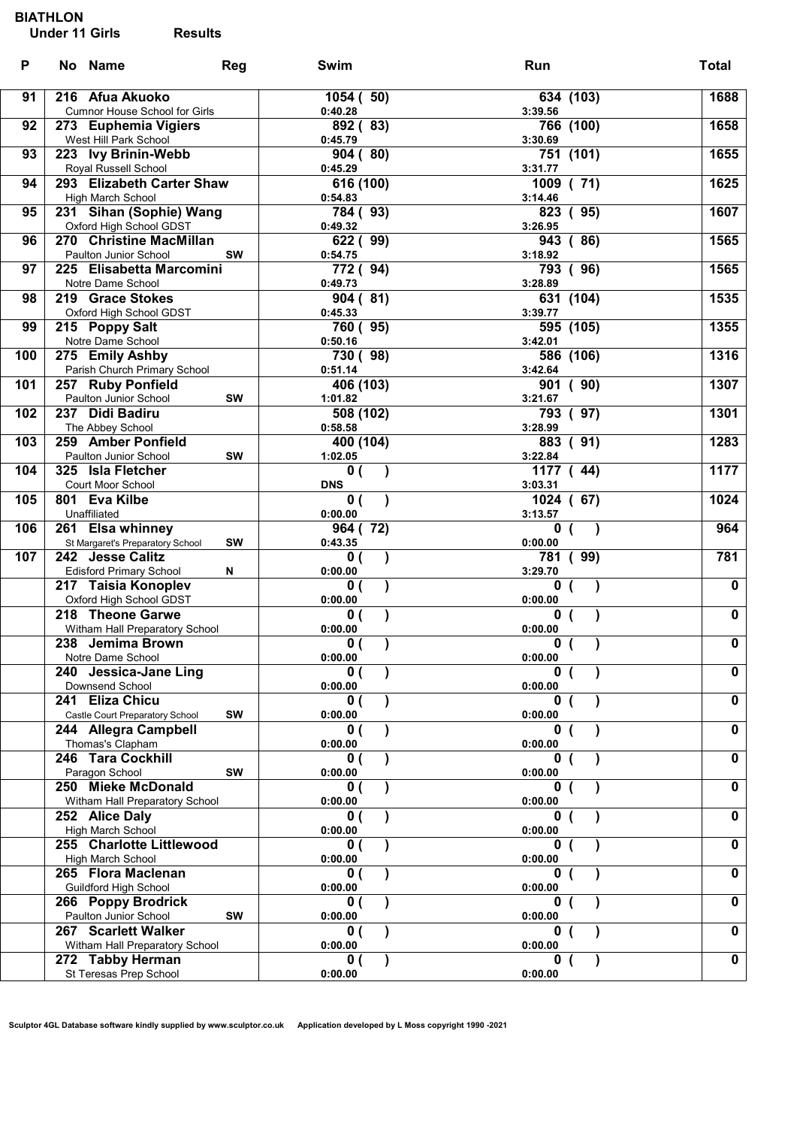| P   | No Name                                                 | Reg       | Swim                       | Run                    | <b>Total</b>            |
|-----|---------------------------------------------------------|-----------|----------------------------|------------------------|-------------------------|
| 91  | 216 Afua Akuoko<br><b>Cumnor House School for Girls</b> |           | 1054 (50)<br>0:40.28       | 634 (103)<br>3:39.56   | 1688                    |
| 92  | 273 Euphemia Vigiers<br>West Hill Park School           |           | 892 (83)<br>0:45.79        | 766 (100)<br>3:30.69   | 1658                    |
| 93  | 223 Ivy Brinin-Webb<br>Royal Russell School             |           | 904(80)<br>0:45.29         | 751 (101)<br>3:31.77   | 1655                    |
| 94  | 293 Elizabeth Carter Shaw<br>High March School          |           | 616 (100)<br>0:54.83       | 1009 (71)<br>3:14.46   | 1625                    |
| 95  | 231 Sihan (Sophie) Wang                                 |           | 784 (93)                   | 823 (95)               | 1607                    |
| 96  | Oxford High School GDST<br>270 Christine MacMillan      |           | 0:49.32<br>622 (99)        | 3:26.95<br>943 (86)    | 1565                    |
| 97  | Paulton Junior School<br>225 Elisabetta Marcomini       | <b>SW</b> | 0:54.75<br>772 (94)        | 3:18.92<br>793(96)     | 1565                    |
| 98  | Notre Dame School<br>219 Grace Stokes                   |           | 0:49.73<br>904(81)         | 3:28.89<br>631 (104)   | 1535                    |
| 99  | Oxford High School GDST<br>215 Poppy Salt               |           | 0:45.33<br>760 (95)        | 3:39.77<br>595 $(105)$ | 1355                    |
|     | Notre Dame School                                       |           | 0:50.16                    | 3:42.01                |                         |
| 100 | 275 Emily Ashby<br>Parish Church Primary School         |           | 730 (98)<br>0:51.14        | 586 (106)<br>3:42.64   | 1316                    |
| 101 | 257 Ruby Ponfield                                       |           | 406 (103)                  | 901 (90)               | 1307                    |
| 102 | Paulton Junior School<br>237 Didi Badiru                | <b>SW</b> | 1:01.82<br>508 (102)       | 3:21.67<br>793 (97)    | 1301                    |
| 103 | The Abbey School<br>259 Amber Ponfield                  |           | 0:58.58<br>400 (104)       | 3:28.99<br>883 (91)    | 1283                    |
|     | Paulton Junior School                                   | SW        | 1:02.05                    | 3:22.84                |                         |
| 104 | 325 Isla Fletcher<br>Court Moor School                  |           | 0(<br><b>DNS</b>           | 1177 (44)<br>3:03.31   | 1177                    |
| 105 | 801 Eva Kilbe                                           |           | 0(                         | 1024 (67)              | 1024                    |
| 106 | Unaffiliated<br>261 Elsa whinney                        |           | 0:00.00<br>964 (72)        | 3:13.57<br>0           | 964                     |
| 107 | St Margaret's Preparatory School<br>242 Jesse Calitz    | <b>SW</b> | 0:43.35<br>$\lambda$<br>0( | 0:00.00<br>(99)<br>781 | 781                     |
|     | <b>Edisford Primary School</b>                          | N         | 0:00.00                    | 3:29.70                |                         |
|     | 217 Taisia Konoplev<br>Oxford High School GDST          |           | $\mathbf{0}$ (<br>0:00.00  | 0<br>0:00.00           | $\mathbf 0$             |
|     | 218 Theone Garwe<br>Witham Hall Preparatory School      |           | $\mathbf{0}$ (<br>0:00.00  | $\mathbf 0$<br>0:00.00 | $\pmb{0}$               |
|     | 238 Jemima Brown                                        |           | $\overline{0}$ (           | $\mathbf 0$            | $\overline{\mathbf{0}}$ |
|     | Notre Dame School<br>240 Jessica-Jane Ling              |           | 0:00.00<br>0(              | 0:00.00<br>0           | $\mathbf 0$             |
|     | Downsend School<br>241 Eliza Chicu                      |           | 0:00.00<br>$\mathbf{0}$ (  | 0:00.00<br>0           | $\mathbf 0$             |
|     | Castle Court Preparatory School                         | SW        | 0:00.00                    | 0:00.00                |                         |
|     | 244 Allegra Campbell<br>Thomas's Clapham                |           | $\mathbf{0}$ (<br>0:00.00  | 0:00.00                | $\mathbf 0$             |
|     | 246 Tara Cockhill                                       | SW        | $\mathbf{0}$ (             | 0                      | $\mathbf 0$             |
|     | Paragon School<br>250 Mieke McDonald                    |           | 0:00.00<br>$\mathbf{0}$ (  | 0:00.00<br>0           | $\mathbf 0$             |
|     | Witham Hall Preparatory School<br>252 Alice Daly        |           | 0:00.00<br>$\mathbf{0}$ (  | 0:00.00<br>0           | $\mathbf 0$             |
|     | High March School                                       |           | 0:00.00                    | 0:00.00                |                         |
|     | 255 Charlotte Littlewood<br>High March School           |           | $\mathbf{0}$ (<br>0:00.00  | 0<br>0:00.00           | $\mathbf 0$             |
|     | 265 Flora Maclenan<br><b>Guildford High School</b>      |           | $\mathbf{0}$ (<br>0:00.00  | 0<br>0:00.00           | $\mathbf 0$             |
|     | 266 Poppy Brodrick                                      |           | 0 (                        | n                      | $\mathbf 0$             |
|     | Paulton Junior School<br>267 Scarlett Walker            | SW        | 0:00.00<br>$\mathbf{0}$ (  | 0:00.00<br>0           | $\mathbf 0$             |
|     | Witham Hall Preparatory School<br>272 Tabby Herman      |           | 0:00.00<br>$\mathbf{0}$ (  | 0:00.00<br>0           | $\mathbf 0$             |
|     | St Teresas Prep School                                  |           | 0:00.00                    | 0:00.00                |                         |